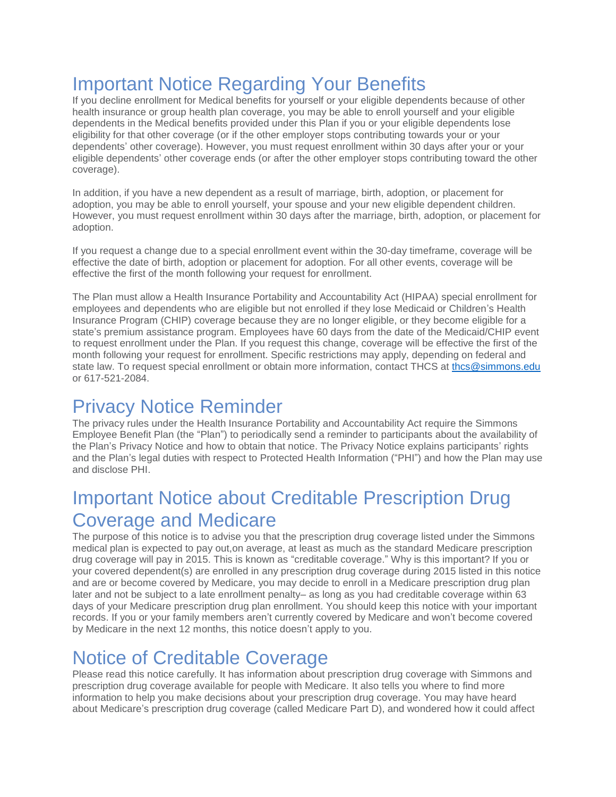# Important Notice Regarding Your Benefits

If you decline enrollment for Medical benefits for yourself or your eligible dependents because of other health insurance or group health plan coverage, you may be able to enroll yourself and your eligible dependents in the Medical benefits provided under this Plan if you or your eligible dependents lose eligibility for that other coverage (or if the other employer stops contributing towards your or your dependents' other coverage). However, you must request enrollment within 30 days after your or your eligible dependents' other coverage ends (or after the other employer stops contributing toward the other coverage).

In addition, if you have a new dependent as a result of marriage, birth, adoption, or placement for adoption, you may be able to enroll yourself, your spouse and your new eligible dependent children. However, you must request enrollment within 30 days after the marriage, birth, adoption, or placement for adoption.

If you request a change due to a special enrollment event within the 30-day timeframe, coverage will be effective the date of birth, adoption or placement for adoption. For all other events, coverage will be effective the first of the month following your request for enrollment.

The Plan must allow a Health Insurance Portability and Accountability Act (HIPAA) special enrollment for employees and dependents who are eligible but not enrolled if they lose Medicaid or Children's Health Insurance Program (CHIP) coverage because they are no longer eligible, or they become eligible for a state's premium assistance program. Employees have 60 days from the date of the Medicaid/CHIP event to request enrollment under the Plan. If you request this change, coverage will be effective the first of the month following your request for enrollment. Specific restrictions may apply, depending on federal and state law. To request special enrollment or obtain more information, contact THCS at [thcs@simmons.edu](mailto:thcs@simmons.edu) or 617-521-2084.

# Privacy Notice Reminder

The privacy rules under the Health Insurance Portability and Accountability Act require the Simmons Employee Benefit Plan (the "Plan") to periodically send a reminder to participants about the availability of the Plan's Privacy Notice and how to obtain that notice. The Privacy Notice explains participants' rights and the Plan's legal duties with respect to Protected Health Information ("PHI") and how the Plan may use and disclose PHI.

# Important Notice about Creditable Prescription Drug Coverage and Medicare

The purpose of this notice is to advise you that the prescription drug coverage listed under the Simmons medical plan is expected to pay out,on average, at least as much as the standard Medicare prescription drug coverage will pay in 2015. This is known as "creditable coverage." Why is this important? If you or your covered dependent(s) are enrolled in any prescription drug coverage during 2015 listed in this notice and are or become covered by Medicare, you may decide to enroll in a Medicare prescription drug plan later and not be subject to a late enrollment penalty– as long as you had creditable coverage within 63 days of your Medicare prescription drug plan enrollment. You should keep this notice with your important records. If you or your family members aren't currently covered by Medicare and won't become covered by Medicare in the next 12 months, this notice doesn't apply to you.

## Notice of Creditable Coverage

Please read this notice carefully. It has information about prescription drug coverage with Simmons and prescription drug coverage available for people with Medicare. It also tells you where to find more information to help you make decisions about your prescription drug coverage. You may have heard about Medicare's prescription drug coverage (called Medicare Part D), and wondered how it could affect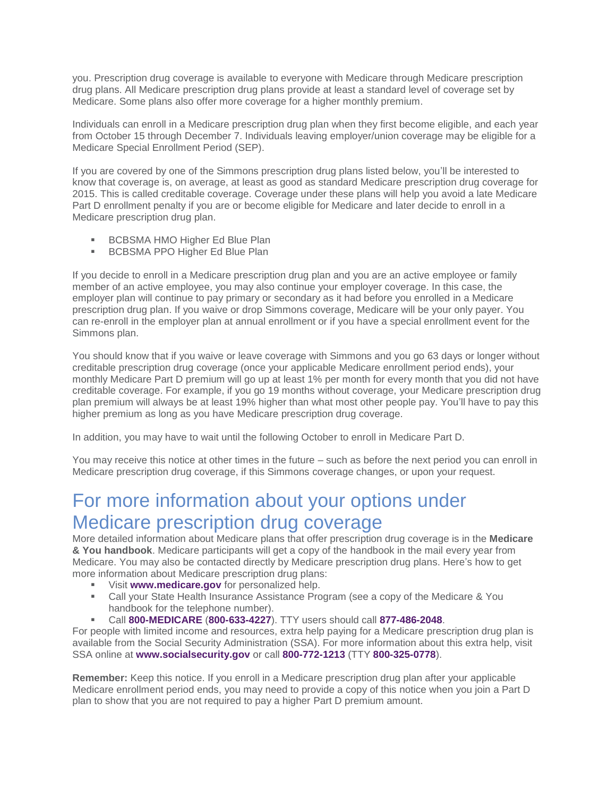you. Prescription drug coverage is available to everyone with Medicare through Medicare prescription drug plans. All Medicare prescription drug plans provide at least a standard level of coverage set by Medicare. Some plans also offer more coverage for a higher monthly premium.

Individuals can enroll in a Medicare prescription drug plan when they first become eligible, and each year from October 15 through December 7. Individuals leaving employer/union coverage may be eligible for a Medicare Special Enrollment Period (SEP).

If you are covered by one of the Simmons prescription drug plans listed below, you'll be interested to know that coverage is, on average, at least as good as standard Medicare prescription drug coverage for 2015. This is called creditable coverage. Coverage under these plans will help you avoid a late Medicare Part D enrollment penalty if you are or become eligible for Medicare and later decide to enroll in a Medicare prescription drug plan.

- BCBSMA HMO Higher Ed Blue Plan
- **BCBSMA PPO Higher Ed Blue Plan**

If you decide to enroll in a Medicare prescription drug plan and you are an active employee or family member of an active employee, you may also continue your employer coverage. In this case, the employer plan will continue to pay primary or secondary as it had before you enrolled in a Medicare prescription drug plan. If you waive or drop Simmons coverage, Medicare will be your only payer. You can re-enroll in the employer plan at annual enrollment or if you have a special enrollment event for the Simmons plan.

You should know that if you waive or leave coverage with Simmons and you go 63 days or longer without creditable prescription drug coverage (once your applicable Medicare enrollment period ends), your monthly Medicare Part D premium will go up at least 1% per month for every month that you did not have creditable coverage. For example, if you go 19 months without coverage, your Medicare prescription drug plan premium will always be at least 19% higher than what most other people pay. You'll have to pay this higher premium as long as you have Medicare prescription drug coverage.

In addition, you may have to wait until the following October to enroll in Medicare Part D.

You may receive this notice at other times in the future – such as before the next period you can enroll in Medicare prescription drug coverage, if this Simmons coverage changes, or upon your request.

## For more information about your options under Medicare prescription drug coverage

More detailed information about Medicare plans that offer prescription drug coverage is in the **Medicare & You handbook**. Medicare participants will get a copy of the handbook in the mail every year from Medicare. You may also be contacted directly by Medicare prescription drug plans. Here's how to get more information about Medicare prescription drug plans:

- Visit **www.medicare.gov** for personalized help.
- Call your State Health Insurance Assistance Program (see a copy of the Medicare & You handbook for the telephone number).
- Call **800-MEDICARE** (**800-633-4227**). TTY users should call **877-486-2048**.

For people with limited income and resources, extra help paying for a Medicare prescription drug plan is available from the Social Security Administration (SSA). For more information about this extra help, visit SSA online at **www.socialsecurity.gov** or call **800-772-1213** (TTY **800-325-0778**).

**Remember:** Keep this notice. If you enroll in a Medicare prescription drug plan after your applicable Medicare enrollment period ends, you may need to provide a copy of this notice when you join a Part D plan to show that you are not required to pay a higher Part D premium amount.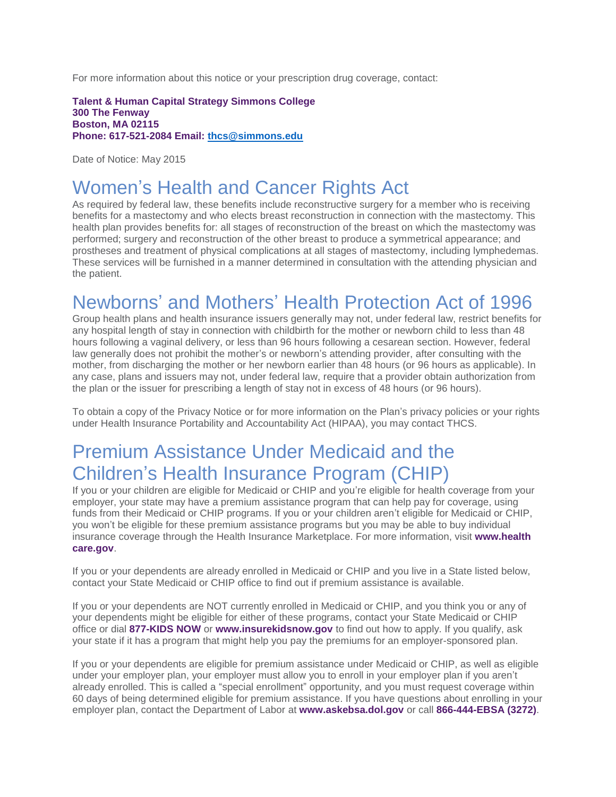For more information about this notice or your prescription drug coverage, contact:

**Talent & Human Capital Strategy Simmons College 300 The Fenway Boston, MA 02115 Phone: 617-521-2084 Email: [thcs@simmons.edu](mailto:thcs@simmons.edu)**

Date of Notice: May 2015

# Women's Health and Cancer Rights Act

As required by federal law, these benefits include reconstructive surgery for a member who is receiving benefits for a mastectomy and who elects breast reconstruction in connection with the mastectomy. This health plan provides benefits for: all stages of reconstruction of the breast on which the mastectomy was performed; surgery and reconstruction of the other breast to produce a symmetrical appearance; and prostheses and treatment of physical complications at all stages of mastectomy, including lymphedemas. These services will be furnished in a manner determined in consultation with the attending physician and the patient.

## Newborns' and Mothers' Health Protection Act of 1996

Group health plans and health insurance issuers generally may not, under federal law, restrict benefits for any hospital length of stay in connection with childbirth for the mother or newborn child to less than 48 hours following a vaginal delivery, or less than 96 hours following a cesarean section. However, federal law generally does not prohibit the mother's or newborn's attending provider, after consulting with the mother, from discharging the mother or her newborn earlier than 48 hours (or 96 hours as applicable). In any case, plans and issuers may not, under federal law, require that a provider obtain authorization from the plan or the issuer for prescribing a length of stay not in excess of 48 hours (or 96 hours).

To obtain a copy of the Privacy Notice or for more information on the Plan's privacy policies or your rights under Health Insurance Portability and Accountability Act (HIPAA), you may contact THCS.

# Premium Assistance Under Medicaid and the Children's Health Insurance Program (CHIP)

If you or your children are eligible for Medicaid or CHIP and you're eligible for health coverage from your employer, your state may have a premium assistance program that can help pay for coverage, using funds from their Medicaid or CHIP programs. If you or your children aren't eligible for Medicaid or CHIP, you won't be eligible for these premium assistance programs but you may be able to buy individual insurance coverage through the Health Insurance Marketplace. For more information, visit **www.health care.gov**.

If you or your dependents are already enrolled in Medicaid or CHIP and you live in a State listed below, contact your State Medicaid or CHIP office to find out if premium assistance is available.

If you or your dependents are NOT currently enrolled in Medicaid or CHIP, and you think you or any of your dependents might be eligible for either of these programs, contact your State Medicaid or CHIP office or dial **877-KIDS NOW** or **www.insurekidsnow.gov** to find out how to apply. If you qualify, ask your state if it has a program that might help you pay the premiums for an employer-sponsored plan.

If you or your dependents are eligible for premium assistance under Medicaid or CHIP, as well as eligible under your employer plan, your employer must allow you to enroll in your employer plan if you aren't already enrolled. This is called a "special enrollment" opportunity, and you must request coverage within 60 days of being determined eligible for premium assistance. If you have questions about enrolling in your employer plan, contact the Department of Labor at **www.askebsa.dol.gov** or call **866-444-EBSA (3272)**.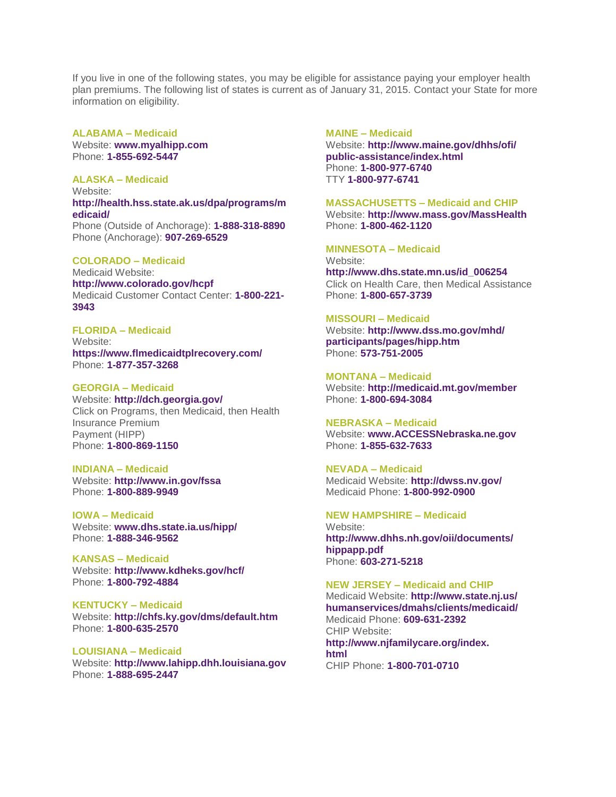If you live in one of the following states, you may be eligible for assistance paying your employer health plan premiums. The following list of states is current as of January 31, 2015. Contact your State for more information on eligibility.

**ALABAMA – Medicaid** Website: **www.myalhipp.com** Phone: **1-855-692-5447**

**ALASKA – Medicaid** Website: **http://health.hss.state.ak.us/dpa/programs/m edicaid/** Phone (Outside of Anchorage): **1-888-318-8890** Phone (Anchorage): **907-269-6529**

**COLORADO – Medicaid** Medicaid Website: **http://www.colorado.gov/hcpf** Medicaid Customer Contact Center: **1-800-221- 3943**

**FLORIDA – Medicaid** Website: **https://www.flmedicaidtplrecovery.com/** Phone: **1-877-357-3268**

**GEORGIA – Medicaid** Website: **http://dch.georgia.gov/** Click on Programs, then Medicaid, then Health Insurance Premium Payment (HIPP) Phone: **1-800-869-1150**

**INDIANA – Medicaid** Website: **http://www.in.gov/fssa** Phone: **1-800-889-9949**

**IOWA – Medicaid** Website: **www.dhs.state.ia.us/hipp/** Phone: **1-888-346-9562**

**KANSAS – Medicaid** Website: **http://www.kdheks.gov/hcf/** Phone: **1-800-792-4884**

**KENTUCKY – Medicaid** Website: **http://chfs.ky.gov/dms/default.htm** Phone: **1-800-635-2570**

**LOUISIANA – Medicaid** Website: **http://www.lahipp.dhh.louisiana.gov** Phone: **1-888-695-2447**

**MAINE – Medicaid**

Website: **http://www.maine.gov/dhhs/ofi/ public-assistance/index.html** Phone: **1-800-977-6740** TTY **1-800-977-6741**

**MASSACHUSETTS – Medicaid and CHIP**

Website: **http://www.mass.gov/MassHealth** Phone: **1-800-462-1120**

**MINNESOTA – Medicaid** Website: **http://www.dhs.state.mn.us/id\_006254** Click on Health Care, then Medical Assistance Phone: **1-800-657-3739**

## **MISSOURI – Medicaid**

Website: **http://www.dss.mo.gov/mhd/ participants/pages/hipp.htm** Phone: **573-751-2005**

**MONTANA – Medicaid** Website: **http://medicaid.mt.gov/member** Phone: **1-800-694-3084**

**NEBRASKA – Medicaid** Website: **www.ACCESSNebraska.ne.gov** Phone: **1-855-632-7633**

**NEVADA – Medicaid** Medicaid Website: **http://dwss.nv.gov/** Medicaid Phone: **1-800-992-0900**

**NEW HAMPSHIRE – Medicaid** Website: **http://www.dhhs.nh.gov/oii/documents/ hippapp.pdf** Phone: **603-271-5218**

## **NEW JERSEY – Medicaid and CHIP**

Medicaid Website: **http://www.state.nj.us/ humanservices/dmahs/clients/medicaid/** Medicaid Phone: **609-631-2392** CHIP Website: **http://www.njfamilycare.org/index. html** CHIP Phone: **1-800-701-0710**